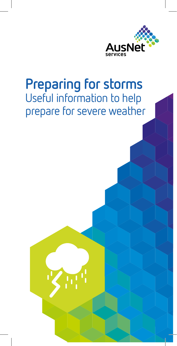

# **Preparing for storms** Useful information to help prepare for severe weather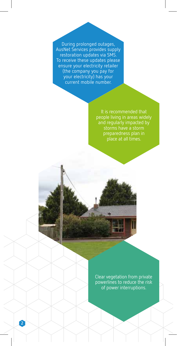During prolonged outages, AusNet Services provides supply restoration updates via SMS. To receive these updates please ensure your electricity retailer (the company you pay for your electricity) has your current mobile number.

> It is recommended that people living in areas widely and regularly impacted by storms have a storm preparedness plan in place at all times.

Clear vegetation from private powerlines to reduce the risk of power interruptions.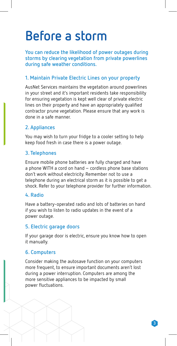# **Before a storm**

**You can reduce the likelihood of power outages during storms by clearing vegetation from private powerlines during safe weather conditions.** 

# **1. Maintain Private Electric Lines on your property**

AusNet Services maintains the vegetation around powerlines in your street and it's important residents take responsibility for ensuring vegetation is kept well clear of private electric lines on their property and have an appropriately qualified contractor prune vegetation. Please ensure that any work is done in a safe manner.

# **2. Appliances**

You may wish to turn your fridge to a cooler setting to help keep food fresh in case there is a power outage.

### **3. Telephones**

Ensure mobile phone batteries are fully charged and have a phone WITH a cord on hand – cordless phone base stations don't work without electricity. Remember not to use a telephone during an electrical storm as it is possible to get a shock. Refer to your telephone provider for further information.

#### **4. Radio**

Have a battery-operated radio and lots of batteries on hand if you wish to listen to radio updates in the event of a power outage.

# **5. Electric garage doors**

If your garage door is electric, ensure you know how to open it manually.

# **6. Computers**

Consider making the autosave function on your computers more frequent, to ensure important documents aren't lost during a power interruption. Computers are among the more sensitive appliances to be impacted by small power fluctuations.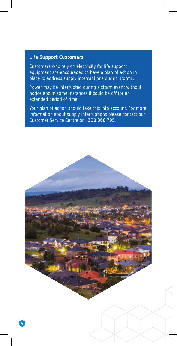#### **Life Support Customers**

Customers who rely on electricity for life support equipment are encouraged to have a plan of action in place to address supply interruptions during storms.

Power may be interrupted during a storm event without notice and in some instances it could be off for an extended period of time.

Your plan of action should take this into account. For more information about supply interruptions please contact our Customer Service Centre on **1300 360 795**.

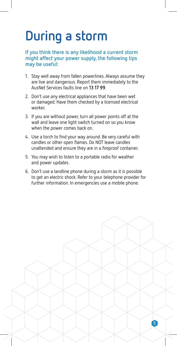# **During a storm**

**If you think there is any likelihood a current storm might affect your power supply, the following tips may be useful:**

- 1. Stay well away from fallen powerlines. Always assume they are live and dangerous. Report them immediately to the AusNet Services faults line on **13 17 99**.
- 2. Don't use any electrical appliances that have been wet or damaged. Have them checked by a licensed electrical worker.
- 3. If you are without power, turn all power points off at the wall and leave one light switch turned on so you know when the power comes back on.
- 4. Use a torch to find your way around. Be very careful with candles or other open flames. Do NOT leave candles unattended and ensure they are in a fireproof container.
- 5. You may wish to listen to a portable radio for weather and power updates.
- 6. Don't use a landline phone during a storm as it is possible to get an electric shock. Refer to your telephone provider for further information. In emergencies use a mobile phone.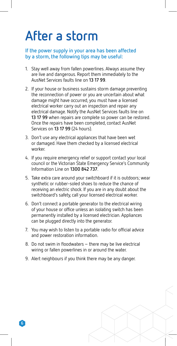# **After a storm**

#### **If the power supply in your area has been affected by a storm, the following tips may be useful:**

- 1. Stay well away from fallen powerlines. Always assume they are live and dangerous. Report them immediately to the AusNet Services faults line on **13 17 99**.
- 2. If your house or business sustains storm damage preventing the reconnection of power or you are uncertain about what damage might have occurred, you must have a licensed electrical worker carry out an inspection and repair any electrical damage. Notify the AusNet Services faults line on **13 17 99** when repairs are complete so power can be restored. Once the repairs have been completed, contact AusNet Services on **13 17 99** (24 hours).
- 3. Don't use any electrical appliances that have been wet or damaged. Have them checked by a licensed electrical worker.
- 4. If you require emergency relief or support contact your local council or the Victorian State Emergency Service's Community Information Line on **1300 842 737**.
- 5. Take extra care around your switchboard if it is outdoors; wear synthetic or rubber-soled shoes to reduce the chance of receiving an electric shock. If you are in any doubt about the switchboard's safety, call your licensed electrical worker.
- 6. Don't connect a portable generator to the electrical wiring of your house or office unless an isolating switch has been permanently installed by a licensed electrician. Appliances can be plugged directly into the generator.
- 7. You may wish to listen to a portable radio for official advice and power restoration information.
- 8. Do not swim in floodwaters there may be live electrical wiring or fallen powerlines in or around the water.
- 9. Alert neighbours if you think there may be any danger.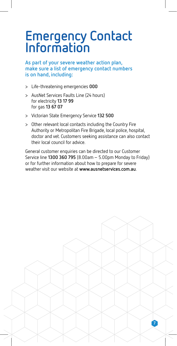# **Emergency Contact Information**

#### **As part of your severe weather action plan, make sure a list of emergency contact numbers is on hand, including:**

- > Life-threatening emergencies **000**
- > AusNet Services Faults Line (24 hours) for electricity **13 17 99** for gas **13 67 07**
- > Victorian State Emergency Service **132 500**
- > Other relevant local contacts including the Country Fire Authority or Metropolitan Fire Brigade, local police, hospital, doctor and vet. Customers seeking assistance can also contact their local council for advice.

General customer enquiries can be directed to our Customer Service line **1300 360 795** (8.00am – 5.00pm Monday to Friday) or for further information about how to prepare for severe weather visit our website at **www.ausnetservices.com.au**.